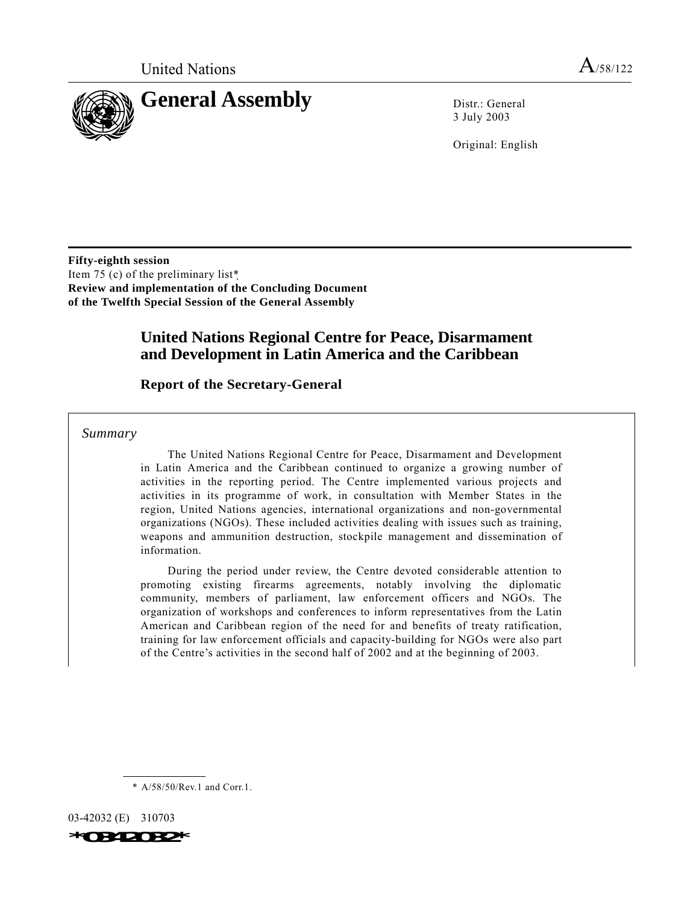

3 July 2003

Original: English

**Fifty-eighth session** Item 75 (c) of the preliminary list\* **Review and implementation of the Concluding Document of the Twelfth Special Session of the General Assembly**

# **United Nations Regional Centre for Peace, Disarmament and Development in Latin America and the Caribbean**

# **Report of the Secretary-General**

*Summary*

The United Nations Regional Centre for Peace, Disarmament and Development in Latin America and the Caribbean continued to organize a growing number of activities in the reporting period. The Centre implemented various projects and activities in its programme of work, in consultation with Member States in the region, United Nations agencies, international organizations and non-governmental organizations (NGOs). These included activities dealing with issues such as training, weapons and ammunition destruction, stockpile management and dissemination of information.

During the period under review, the Centre devoted considerable attention to promoting existing firearms agreements, notably involving the diplomatic community, members of parliament, law enforcement officers and NGOs. The organization of workshops and conferences to inform representatives from the Latin American and Caribbean region of the need for and benefits of treaty ratification, training for law enforcement officials and capacity-building for NGOs were also part of the Centre's activities in the second half of 2002 and at the beginning of 2003.

\* A/58/50/Rev.1 and Corr.1.

03-42032 (E) 310703 *\*0342032\**

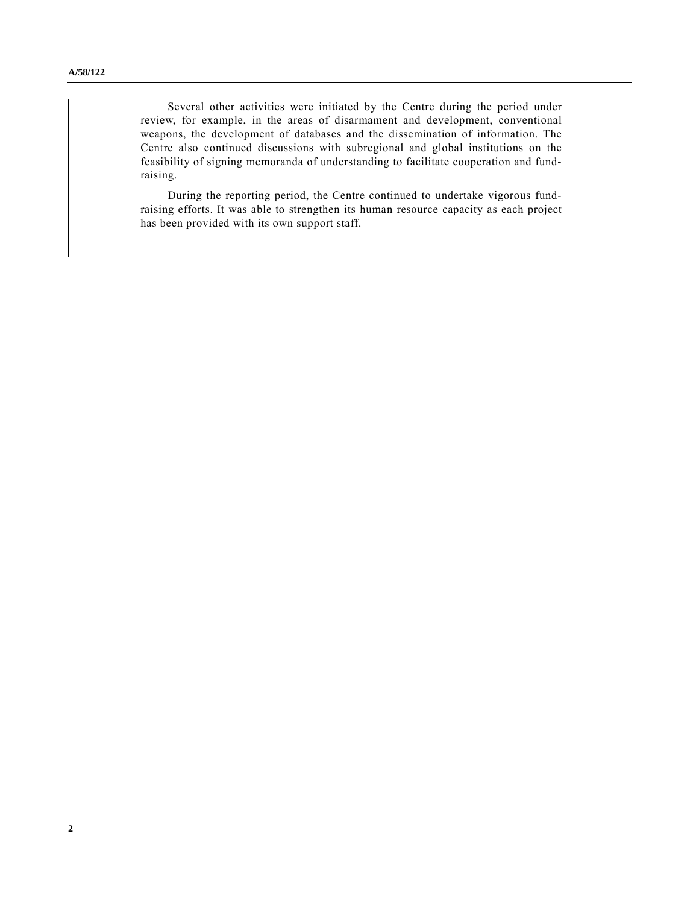Several other activities were initiated by the Centre during the period under review, for example, in the areas of disarmament and development, conventional weapons, the development of databases and the dissemination of information. The Centre also continued discussions with subregional and global institutions on the feasibility of signing memoranda of understanding to facilitate cooperation and fundraising.

During the reporting period, the Centre continued to undertake vigorous fundraising efforts. It was able to strengthen its human resource capacity as each project has been provided with its own support staff.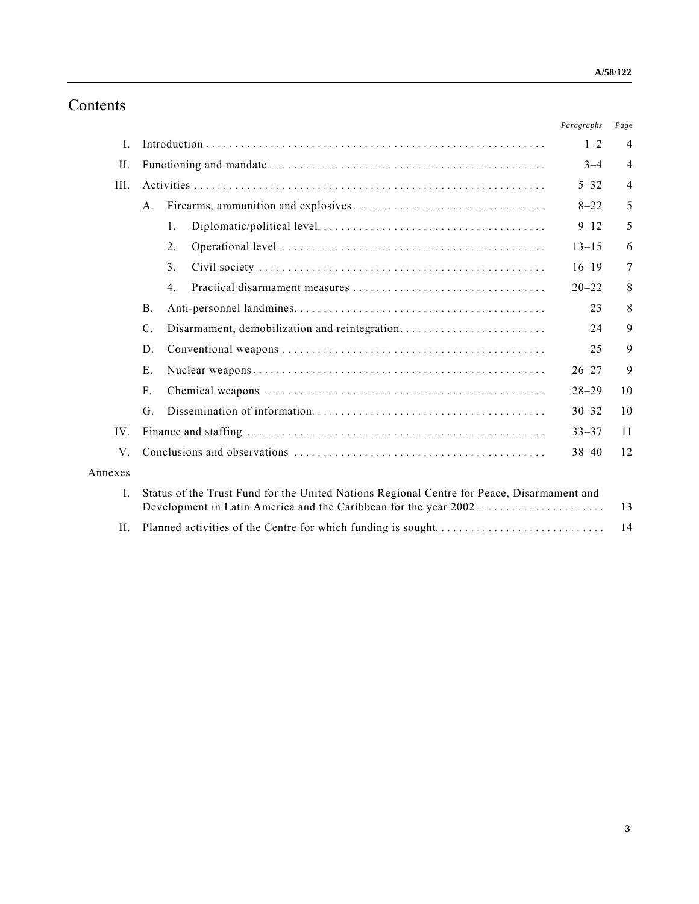# Contents

|                |                                                                                                                                                                |                                               | Paragraphs | Page           |
|----------------|----------------------------------------------------------------------------------------------------------------------------------------------------------------|-----------------------------------------------|------------|----------------|
| $\mathbf{I}$ . |                                                                                                                                                                |                                               | $1 - 2$    | $\overline{4}$ |
| H.             |                                                                                                                                                                |                                               | $3 - 4$    | $\overline{4}$ |
| III.           |                                                                                                                                                                |                                               |            | $\overline{4}$ |
|                | $A_{\cdot}$                                                                                                                                                    |                                               | $8 - 22$   | 5              |
|                |                                                                                                                                                                | $\mathbf{1}$ .                                | $9 - 12$   | 5              |
|                |                                                                                                                                                                | 2.                                            | $13 - 15$  | 6              |
|                |                                                                                                                                                                | 3 <sub>1</sub>                                | $16 - 19$  | 7              |
|                |                                                                                                                                                                | $\overline{4}$ .                              | $20 - 22$  | 8              |
|                | $\mathbf{B}$ .                                                                                                                                                 |                                               | 23         | 8              |
|                | $\mathcal{C}$ .                                                                                                                                                | Disarmament, demobilization and reintegration | 24         | 9              |
|                | D.                                                                                                                                                             |                                               | 25         | 9              |
|                | Ε.                                                                                                                                                             |                                               | $26 - 27$  | 9              |
|                | $F_{\cdot}$                                                                                                                                                    |                                               | $28 - 29$  | 10             |
|                | G.                                                                                                                                                             |                                               | $30 - 32$  | 10             |
| $IV_{-}$       |                                                                                                                                                                |                                               | $33 - 37$  | 11             |
| $V_{\perp}$    |                                                                                                                                                                |                                               | $38 - 40$  | 12             |
| Annexes        |                                                                                                                                                                |                                               |            |                |
| $\mathbf{I}$ . | Status of the Trust Fund for the United Nations Regional Centre for Peace, Disarmament and<br>Development in Latin America and the Caribbean for the year 2002 |                                               |            | 13             |
| II.            |                                                                                                                                                                |                                               |            | 14             |
|                |                                                                                                                                                                |                                               |            |                |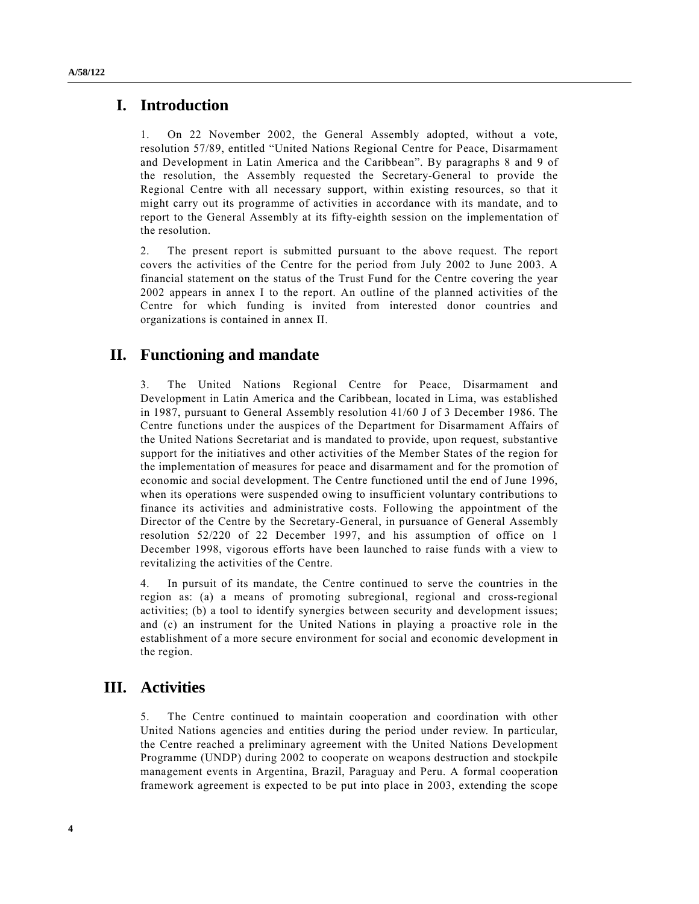# **I. Introduction**

1. On 22 November 2002, the General Assembly adopted, without a vote, resolution 57/89, entitled "United Nations Regional Centre for Peace, Disarmament and Development in Latin America and the Caribbean". By paragraphs 8 and 9 of the resolution, the Assembly requested the Secretary-General to provide the Regional Centre with all necessary support, within existing resources, so that it might carry out its programme of activities in accordance with its mandate, and to report to the General Assembly at its fifty-eighth session on the implementation of the resolution.

2. The present report is submitted pursuant to the above request. The report covers the activities of the Centre for the period from July 2002 to June 2003. A financial statement on the status of the Trust Fund for the Centre covering the year 2002 appears in annex I to the report. An outline of the planned activities of the Centre for which funding is invited from interested donor countries and organizations is contained in annex II.

# **II. Functioning and mandate**

3. The United Nations Regional Centre for Peace, Disarmament and Development in Latin America and the Caribbean, located in Lima, was established in 1987, pursuant to General Assembly resolution 41/60 J of 3 December 1986. The Centre functions under the auspices of the Department for Disarmament Affairs of the United Nations Secretariat and is mandated to provide, upon request, substantive support for the initiatives and other activities of the Member States of the region for the implementation of measures for peace and disarmament and for the promotion of economic and social development. The Centre functioned until the end of June 1996, when its operations were suspended owing to insufficient voluntary contributions to finance its activities and administrative costs. Following the appointment of the Director of the Centre by the Secretary-General, in pursuance of General Assembly resolution 52/220 of 22 December 1997, and his assumption of office on 1 December 1998, vigorous efforts have been launched to raise funds with a view to revitalizing the activities of the Centre.

4. In pursuit of its mandate, the Centre continued to serve the countries in the region as: (a) a means of promoting subregional, regional and cross-regional activities; (b) a tool to identify synergies between security and development issues; and (c) an instrument for the United Nations in playing a proactive role in the establishment of a more secure environment for social and economic development in the region.

# **III. Activities**

5. The Centre continued to maintain cooperation and coordination with other United Nations agencies and entities during the period under review. In particular, the Centre reached a preliminary agreement with the United Nations Development Programme (UNDP) during 2002 to cooperate on weapons destruction and stockpile management events in Argentina, Brazil, Paraguay and Peru. A formal cooperation framework agreement is expected to be put into place in 2003, extending the scope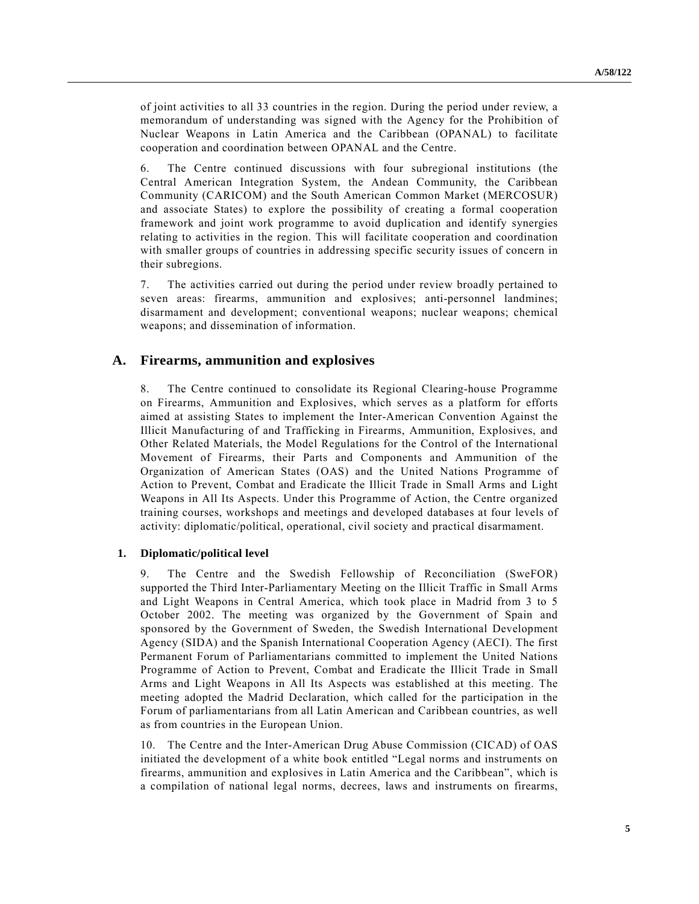of joint activities to all 33 countries in the region. During the period under review, a memorandum of understanding was signed with the Agency for the Prohibition of Nuclear Weapons in Latin America and the Caribbean (OPANAL) to facilitate cooperation and coordination between OPANAL and the Centre.

6. The Centre continued discussions with four subregional institutions (the Central American Integration System, the Andean Community, the Caribbean Community (CARICOM) and the South American Common Market (MERCOSUR) and associate States) to explore the possibility of creating a formal cooperation framework and joint work programme to avoid duplication and identify synergies relating to activities in the region. This will facilitate cooperation and coordination with smaller groups of countries in addressing specific security issues of concern in their subregions.

7. The activities carried out during the period under review broadly pertained to seven areas: firearms, ammunition and explosives; anti-personnel landmines; disarmament and development; conventional weapons; nuclear weapons; chemical weapons; and dissemination of information.

# **A. Firearms, ammunition and explosives**

8. The Centre continued to consolidate its Regional Clearing-house Programme on Firearms, Ammunition and Explosives, which serves as a platform for efforts aimed at assisting States to implement the Inter-American Convention Against the Illicit Manufacturing of and Trafficking in Firearms, Ammunition, Explosives, and Other Related Materials, the Model Regulations for the Control of the International Movement of Firearms, their Parts and Components and Ammunition of the Organization of American States (OAS) and the United Nations Programme of Action to Prevent, Combat and Eradicate the Illicit Trade in Small Arms and Light Weapons in All Its Aspects. Under this Programme of Action, the Centre organized training courses, workshops and meetings and developed databases at four levels of activity: diplomatic/political, operational, civil society and practical disarmament.

### **1. Diplomatic/political level**

9. The Centre and the Swedish Fellowship of Reconciliation (SweFOR) supported the Third Inter-Parliamentary Meeting on the Illicit Traffic in Small Arms and Light Weapons in Central America, which took place in Madrid from 3 to 5 October 2002. The meeting was organized by the Government of Spain and sponsored by the Government of Sweden, the Swedish International Development Agency (SIDA) and the Spanish International Cooperation Agency (AECI). The first Permanent Forum of Parliamentarians committed to implement the United Nations Programme of Action to Prevent, Combat and Eradicate the Illicit Trade in Small Arms and Light Weapons in All Its Aspects was established at this meeting. The meeting adopted the Madrid Declaration, which called for the participation in the Forum of parliamentarians from all Latin American and Caribbean countries, as well as from countries in the European Union.

10. The Centre and the Inter-American Drug Abuse Commission (CICAD) of OAS initiated the development of a white book entitled "Legal norms and instruments on firearms, ammunition and explosives in Latin America and the Caribbean", which is a compilation of national legal norms, decrees, laws and instruments on firearms,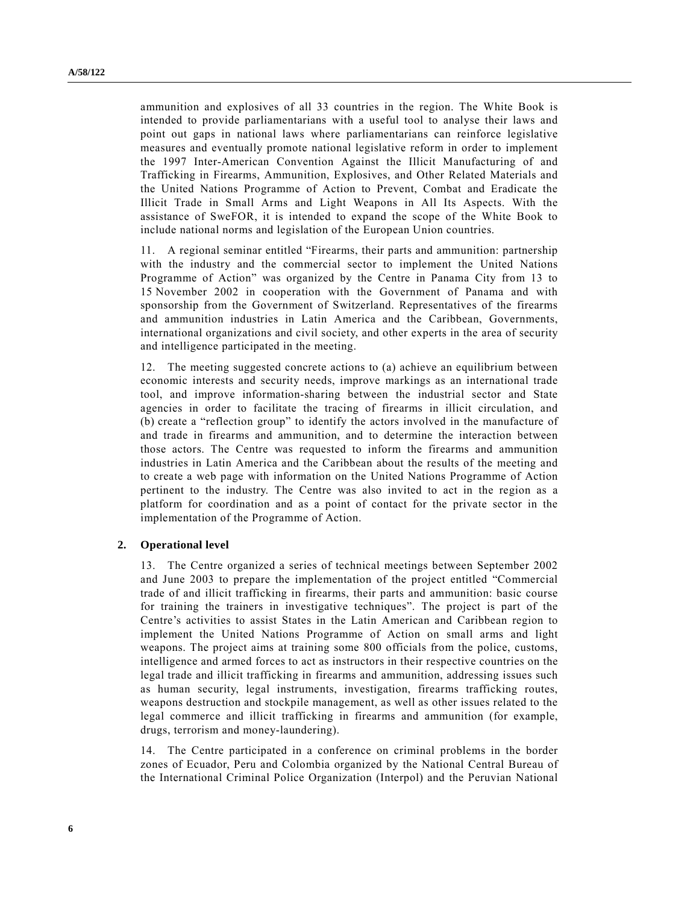ammunition and explosives of all 33 countries in the region. The White Book is intended to provide parliamentarians with a useful tool to analyse their laws and point out gaps in national laws where parliamentarians can reinforce legislative measures and eventually promote national legislative reform in order to implement the 1997 Inter-American Convention Against the Illicit Manufacturing of and Trafficking in Firearms, Ammunition, Explosives, and Other Related Materials and the United Nations Programme of Action to Prevent, Combat and Eradicate the Illicit Trade in Small Arms and Light Weapons in All Its Aspects. With the assistance of SweFOR, it is intended to expand the scope of the White Book to include national norms and legislation of the European Union countries.

11. A regional seminar entitled "Firearms, their parts and ammunition: partnership with the industry and the commercial sector to implement the United Nations Programme of Action" was organized by the Centre in Panama City from 13 to 15 November 2002 in cooperation with the Government of Panama and with sponsorship from the Government of Switzerland. Representatives of the firearms and ammunition industries in Latin America and the Caribbean, Governments, international organizations and civil society, and other experts in the area of security and intelligence participated in the meeting.

12. The meeting suggested concrete actions to (a) achieve an equilibrium between economic interests and security needs, improve markings as an international trade tool, and improve information-sharing between the industrial sector and State agencies in order to facilitate the tracing of firearms in illicit circulation, and (b) create a "reflection group" to identify the actors involved in the manufacture of and trade in firearms and ammunition, and to determine the interaction between those actors. The Centre was requested to inform the firearms and ammunition industries in Latin America and the Caribbean about the results of the meeting and to create a web page with information on the United Nations Programme of Action pertinent to the industry. The Centre was also invited to act in the region as a platform for coordination and as a point of contact for the private sector in the implementation of the Programme of Action.

#### **2. Operational level**

13. The Centre organized a series of technical meetings between September 2002 and June 2003 to prepare the implementation of the project entitled "Commercial" trade of and illicit trafficking in firearms, their parts and ammunition: basic course for training the trainers in investigative techniques". The project is part of the Centre's activities to assist States in the Latin American and Caribbean region to implement the United Nations Programme of Action on small arms and light weapons. The project aims at training some 800 officials from the police, customs, intelligence and armed forces to act as instructors in their respective countries on the legal trade and illicit trafficking in firearms and ammunition, addressing issues such as human security, legal instruments, investigation, firearms trafficking routes, weapons destruction and stockpile management, as well as other issues related to the legal commerce and illicit trafficking in firearms and ammunition (for example, drugs, terrorism and money-laundering).

14. The Centre participated in a conference on criminal problems in the border zones of Ecuador, Peru and Colombia organized by the National Central Bureau of the International Criminal Police Organization (Interpol) and the Peruvian National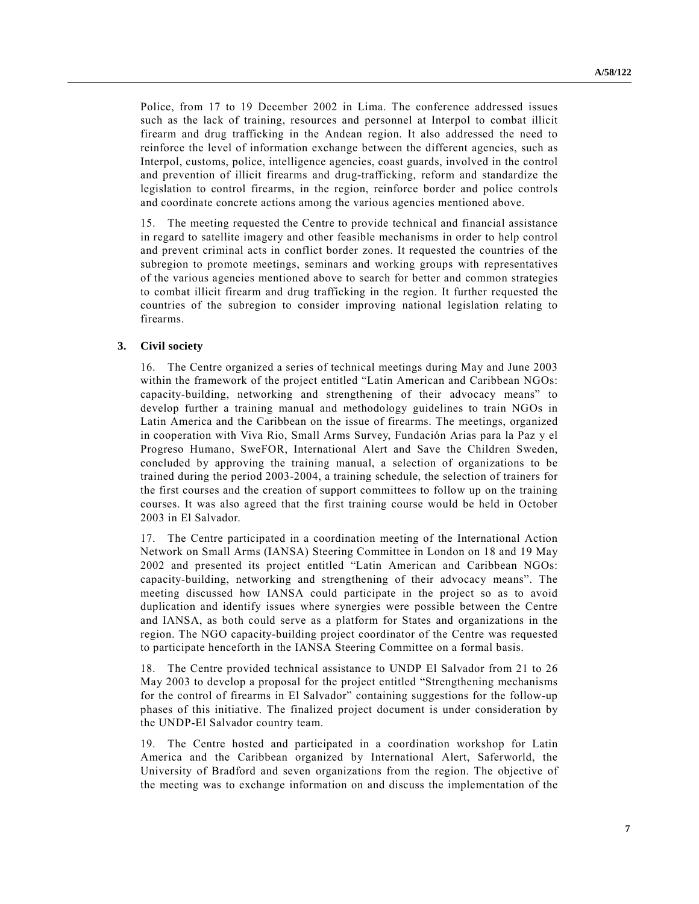Police, from 17 to 19 December 2002 in Lima. The conference addressed issues such as the lack of training, resources and personnel at Interpol to combat illicit firearm and drug trafficking in the Andean region. It also addressed the need to reinforce the level of information exchange between the different agencies, such as Interpol, customs, police, intelligence agencies, coast guards, involved in the control and prevention of illicit firearms and drug-trafficking, reform and standardize the legislation to control firearms, in the region, reinforce border and police controls and coordinate concrete actions among the various agencies mentioned above.

15. The meeting requested the Centre to provide technical and financial assistance in regard to satellite imagery and other feasible mechanisms in order to help control and prevent criminal acts in conflict border zones. It requested the countries of the subregion to promote meetings, seminars and working groups with representatives of the various agencies mentioned above to search for better and common strategies to combat illicit firearm and drug trafficking in the region. It further requested the countries of the subregion to consider improving national legislation relating to firearms.

#### **3. Civil society**

16. The Centre organized a series of technical meetings during May and June 2003 within the framework of the project entitled "Latin American and Caribbean NGOs: capacity-building, networking and strengthening of their advocacy meansî to develop further a training manual and methodology guidelines to train NGOs in Latin America and the Caribbean on the issue of firearms. The meetings, organized in cooperation with Viva Rio, Small Arms Survey, Fundación Arias para la Paz y el Progreso Humano, SweFOR, International Alert and Save the Children Sweden, concluded by approving the training manual, a selection of organizations to be trained during the period 2003-2004, a training schedule, the selection of trainers for the first courses and the creation of support committees to follow up on the training courses. It was also agreed that the first training course would be held in October 2003 in El Salvador.

17. The Centre participated in a coordination meeting of the International Action Network on Small Arms (IANSA) Steering Committee in London on 18 and 19 May 2002 and presented its project entitled "Latin American and Caribbean NGOs: capacity-building, networking and strengthening of their advocacy meansî. The meeting discussed how IANSA could participate in the project so as to avoid duplication and identify issues where synergies were possible between the Centre and IANSA, as both could serve as a platform for States and organizations in the region. The NGO capacity-building project coordinator of the Centre was requested to participate henceforth in the IANSA Steering Committee on a formal basis.

18. The Centre provided technical assistance to UNDP El Salvador from 21 to 26 May 2003 to develop a proposal for the project entitled "Strengthening mechanisms" for the control of firearms in El Salvador" containing suggestions for the follow-up phases of this initiative. The finalized project document is under consideration by the UNDP-El Salvador country team.

19. The Centre hosted and participated in a coordination workshop for Latin America and the Caribbean organized by International Alert, Saferworld, the University of Bradford and seven organizations from the region. The objective of the meeting was to exchange information on and discuss the implementation of the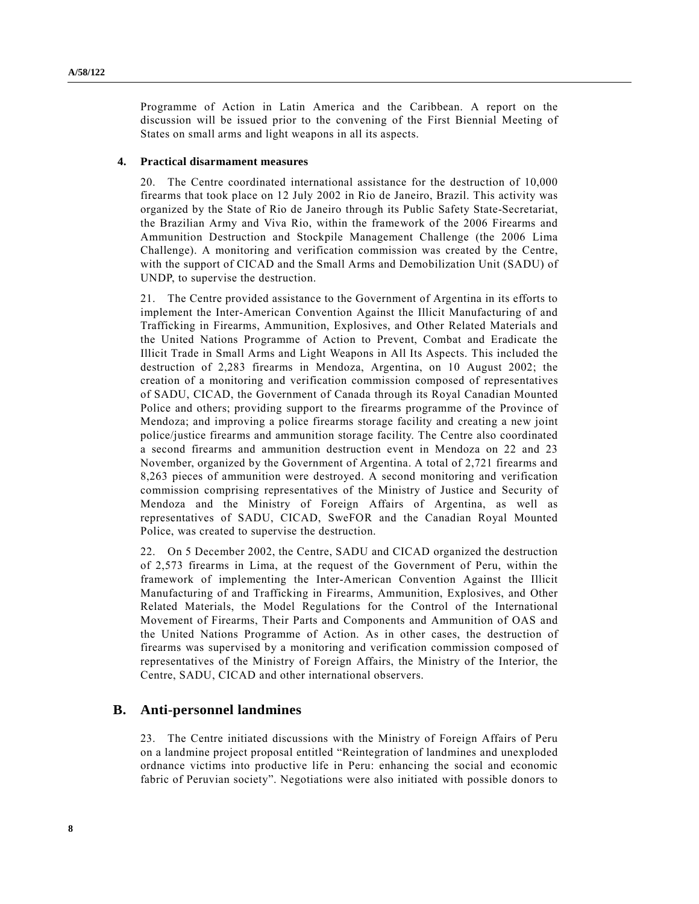Programme of Action in Latin America and the Caribbean. A report on the discussion will be issued prior to the convening of the First Biennial Meeting of States on small arms and light weapons in all its aspects.

#### **4. Practical disarmament measures**

20. The Centre coordinated international assistance for the destruction of 10,000 firearms that took place on 12 July 2002 in Rio de Janeiro, Brazil. This activity was organized by the State of Rio de Janeiro through its Public Safety State-Secretariat, the Brazilian Army and Viva Rio, within the framework of the 2006 Firearms and Ammunition Destruction and Stockpile Management Challenge (the 2006 Lima Challenge). A monitoring and verification commission was created by the Centre, with the support of CICAD and the Small Arms and Demobilization Unit (SADU) of UNDP, to supervise the destruction.

21. The Centre provided assistance to the Government of Argentina in its efforts to implement the Inter-American Convention Against the Illicit Manufacturing of and Trafficking in Firearms, Ammunition, Explosives, and Other Related Materials and the United Nations Programme of Action to Prevent, Combat and Eradicate the Illicit Trade in Small Arms and Light Weapons in All Its Aspects. This included the destruction of 2,283 firearms in Mendoza, Argentina, on 10 August 2002; the creation of a monitoring and verification commission composed of representatives of SADU, CICAD, the Government of Canada through its Royal Canadian Mounted Police and others; providing support to the firearms programme of the Province of Mendoza; and improving a police firearms storage facility and creating a new joint police/justice firearms and ammunition storage facility. The Centre also coordinated a second firearms and ammunition destruction event in Mendoza on 22 and 23 November, organized by the Government of Argentina. A total of 2,721 firearms and 8,263 pieces of ammunition were destroyed. A second monitoring and verification commission comprising representatives of the Ministry of Justice and Security of Mendoza and the Ministry of Foreign Affairs of Argentina, as well as representatives of SADU, CICAD, SweFOR and the Canadian Royal Mounted Police, was created to supervise the destruction.

22. On 5 December 2002, the Centre, SADU and CICAD organized the destruction of 2,573 firearms in Lima, at the request of the Government of Peru, within the framework of implementing the Inter-American Convention Against the Illicit Manufacturing of and Trafficking in Firearms, Ammunition, Explosives, and Other Related Materials, the Model Regulations for the Control of the International Movement of Firearms, Their Parts and Components and Ammunition of OAS and the United Nations Programme of Action. As in other cases, the destruction of firearms was supervised by a monitoring and verification commission composed of representatives of the Ministry of Foreign Affairs, the Ministry of the Interior, the Centre, SADU, CICAD and other international observers.

## **B. Anti-personnel landmines**

23. The Centre initiated discussions with the Ministry of Foreign Affairs of Peru on a landmine project proposal entitled "Reintegration of landmines and unexploded ordnance victims into productive life in Peru: enhancing the social and economic fabric of Peruvian society". Negotiations were also initiated with possible donors to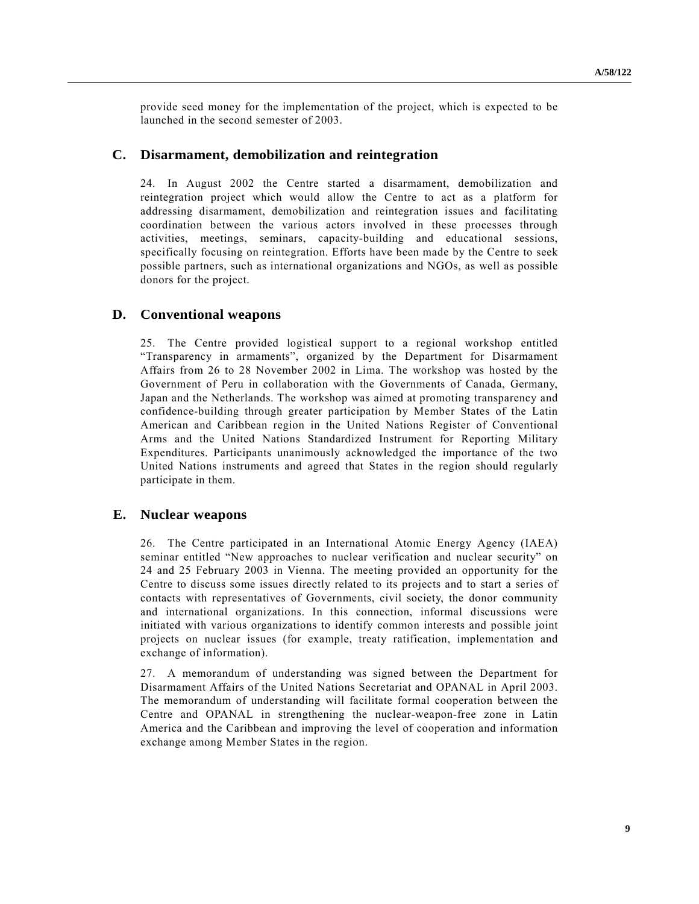provide seed money for the implementation of the project, which is expected to be launched in the second semester of 2003.

## **C. Disarmament, demobilization and reintegration**

24. In August 2002 the Centre started a disarmament, demobilization and reintegration project which would allow the Centre to act as a platform for addressing disarmament, demobilization and reintegration issues and facilitating coordination between the various actors involved in these processes through activities, meetings, seminars, capacity-building and educational sessions, specifically focusing on reintegration. Efforts have been made by the Centre to seek possible partners, such as international organizations and NGOs, as well as possible donors for the project.

# **D. Conventional weapons**

25. The Centre provided logistical support to a regional workshop entitled "Transparency in armaments", organized by the Department for Disarmament Affairs from 26 to 28 November 2002 in Lima. The workshop was hosted by the Government of Peru in collaboration with the Governments of Canada, Germany, Japan and the Netherlands. The workshop was aimed at promoting transparency and confidence-building through greater participation by Member States of the Latin American and Caribbean region in the United Nations Register of Conventional Arms and the United Nations Standardized Instrument for Reporting Military Expenditures. Participants unanimously acknowledged the importance of the two United Nations instruments and agreed that States in the region should regularly participate in them.

## **E. Nuclear weapons**

26. The Centre participated in an International Atomic Energy Agency (IAEA) seminar entitled "New approaches to nuclear verification and nuclear security" on 24 and 25 February 2003 in Vienna. The meeting provided an opportunity for the Centre to discuss some issues directly related to its projects and to start a series of contacts with representatives of Governments, civil society, the donor community and international organizations. In this connection, informal discussions were initiated with various organizations to identify common interests and possible joint projects on nuclear issues (for example, treaty ratification, implementation and exchange of information).

27. A memorandum of understanding was signed between the Department for Disarmament Affairs of the United Nations Secretariat and OPANAL in April 2003. The memorandum of understanding will facilitate formal cooperation between the Centre and OPANAL in strengthening the nuclear-weapon-free zone in Latin America and the Caribbean and improving the level of cooperation and information exchange among Member States in the region.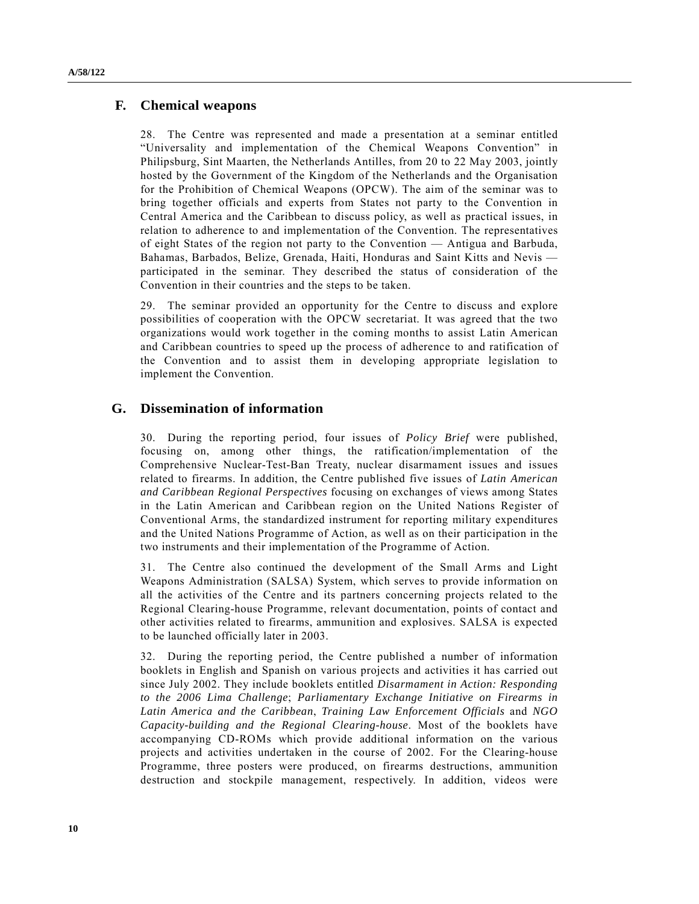# **F. Chemical weapons**

28. The Centre was represented and made a presentation at a seminar entitled ìUniversality and implementation of the Chemical Weapons Conventionî in Philipsburg, Sint Maarten, the Netherlands Antilles, from 20 to 22 May 2003, jointly hosted by the Government of the Kingdom of the Netherlands and the Organisation for the Prohibition of Chemical Weapons (OPCW). The aim of the seminar was to bring together officials and experts from States not party to the Convention in Central America and the Caribbean to discuss policy, as well as practical issues, in relation to adherence to and implementation of the Convention. The representatives of eight States of the region not party to the Convention  $-$  Antigua and Barbuda, Bahamas, Barbados, Belize, Grenada, Haiti, Honduras and Saint Kitts and Nevis participated in the seminar. They described the status of consideration of the Convention in their countries and the steps to be taken.

29. The seminar provided an opportunity for the Centre to discuss and explore possibilities of cooperation with the OPCW secretariat. It was agreed that the two organizations would work together in the coming months to assist Latin American and Caribbean countries to speed up the process of adherence to and ratification of the Convention and to assist them in developing appropriate legislation to implement the Convention.

# **G. Dissemination of information**

30. During the reporting period, four issues of *Policy Brief* were published, focusing on, among other things, the ratification/implementation of the Comprehensive Nuclear-Test-Ban Treaty, nuclear disarmament issues and issues related to firearms. In addition, the Centre published five issues of *Latin American and Caribbean Regional Perspectives* focusing on exchanges of views among States in the Latin American and Caribbean region on the United Nations Register of Conventional Arms, the standardized instrument for reporting military expenditures and the United Nations Programme of Action, as well as on their participation in the two instruments and their implementation of the Programme of Action.

31. The Centre also continued the development of the Small Arms and Light Weapons Administration (SALSA) System, which serves to provide information on all the activities of the Centre and its partners concerning projects related to the Regional Clearing-house Programme, relevant documentation, points of contact and other activities related to firearms, ammunition and explosives. SALSA is expected to be launched officially later in 2003.

32. During the reporting period, the Centre published a number of information booklets in English and Spanish on various projects and activities it has carried out since July 2002. They include booklets entitled *Disarmament in Action: Responding to the 2006 Lima Challenge*; *Parliamentary Exchange Initiative on Firearms in Latin America and the Caribbean*, *Training Law Enforcement Officials* and *NGO Capacity-building and the Regional Clearing-house*. Most of the booklets have accompanying CD-ROMs which provide additional information on the various projects and activities undertaken in the course of 2002. For the Clearing-house Programme, three posters were produced, on firearms destructions, ammunition destruction and stockpile management, respectively. In addition, videos were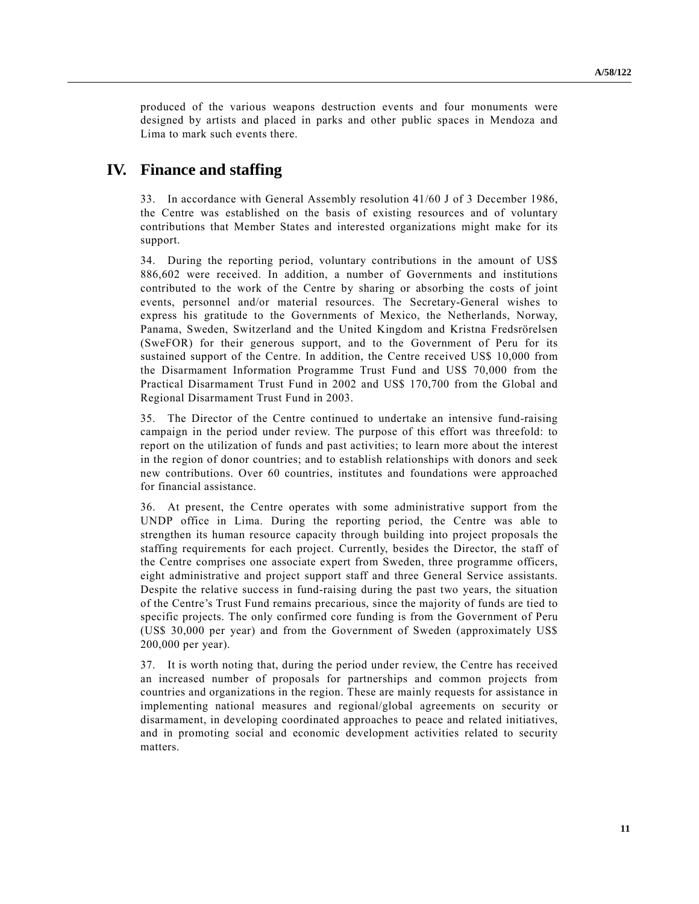produced of the various weapons destruction events and four monuments were designed by artists and placed in parks and other public spaces in Mendoza and Lima to mark such events there.

# **IV. Finance and staffing**

33. In accordance with General Assembly resolution 41/60 J of 3 December 1986, the Centre was established on the basis of existing resources and of voluntary contributions that Member States and interested organizations might make for its support.

34. During the reporting period, voluntary contributions in the amount of US\$ 886,602 were received. In addition, a number of Governments and institutions contributed to the work of the Centre by sharing or absorbing the costs of joint events, personnel and/or material resources. The Secretary-General wishes to express his gratitude to the Governments of Mexico, the Netherlands, Norway, Panama, Sweden, Switzerland and the United Kingdom and Kristna Fredsrörelsen (SweFOR) for their generous support, and to the Government of Peru for its sustained support of the Centre. In addition, the Centre received US\$ 10,000 from the Disarmament Information Programme Trust Fund and US\$ 70,000 from the Practical Disarmament Trust Fund in 2002 and US\$ 170,700 from the Global and Regional Disarmament Trust Fund in 2003.

35. The Director of the Centre continued to undertake an intensive fund-raising campaign in the period under review. The purpose of this effort was threefold: to report on the utilization of funds and past activities; to learn more about the interest in the region of donor countries; and to establish relationships with donors and seek new contributions. Over 60 countries, institutes and foundations were approached for financial assistance.

36. At present, the Centre operates with some administrative support from the UNDP office in Lima. During the reporting period, the Centre was able to strengthen its human resource capacity through building into project proposals the staffing requirements for each project. Currently, besides the Director, the staff of the Centre comprises one associate expert from Sweden, three programme officers, eight administrative and project support staff and three General Service assistants. Despite the relative success in fund-raising during the past two years, the situation of the Centre's Trust Fund remains precarious, since the majority of funds are tied to specific projects. The only confirmed core funding is from the Government of Peru (US\$ 30,000 per year) and from the Government of Sweden (approximately US\$ 200,000 per year).

37. It is worth noting that, during the period under review, the Centre has received an increased number of proposals for partnerships and common projects from countries and organizations in the region. These are mainly requests for assistance in implementing national measures and regional/global agreements on security or disarmament, in developing coordinated approaches to peace and related initiatives, and in promoting social and economic development activities related to security matters.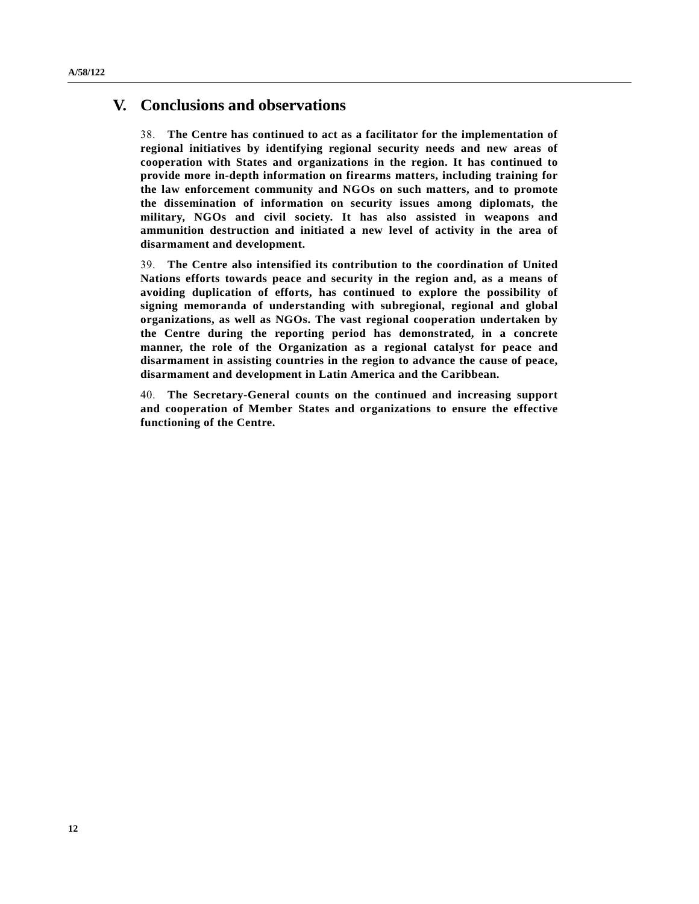# **V. Conclusions and observations**

38. **The Centre has continued to act as a facilitator for the implementation of regional initiatives by identifying regional security needs and new areas of cooperation with States and organizations in the region. It has continued to provide more in-depth information on firearms matters, including training for the law enforcement community and NGOs on such matters, and to promote the dissemination of information on security issues among diplomats, the military, NGOs and civil society. It has also assisted in weapons and ammunition destruction and initiated a new level of activity in the area of disarmament and development.**

39. **The Centre also intensified its contribution to the coordination of United Nations efforts towards peace and security in the region and, as a means of avoiding duplication of efforts, has continued to explore the possibility of signing memoranda of understanding with subregional, regional and global organizations, as well as NGOs. The vast regional cooperation undertaken by the Centre during the reporting period has demonstrated, in a concrete manner, the role of the Organization as a regional catalyst for peace and disarmament in assisting countries in the region to advance the cause of peace, disarmament and development in Latin America and the Caribbean.**

40. **The Secretary-General counts on the continued and increasing support and cooperation of Member States and organizations to ensure the effective functioning of the Centre.**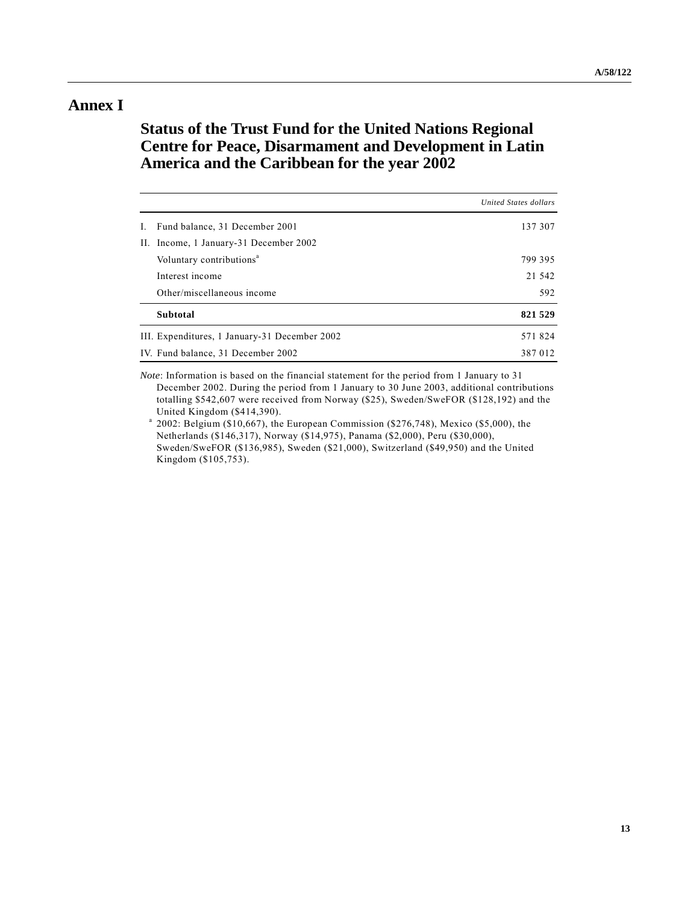# **Annex I**

# **Status of the Trust Fund for the United Nations Regional Centre for Peace, Disarmament and Development in Latin America and the Caribbean for the year 2002**

|                                    |                                               | United States dollars |
|------------------------------------|-----------------------------------------------|-----------------------|
| I.                                 | Fund balance, 31 December 2001                | 137 307               |
|                                    | II. Income, 1 January-31 December 2002        |                       |
|                                    | Voluntary contributions <sup>a</sup>          | 799 395               |
|                                    | Interest income                               | 21 542                |
|                                    | Other/miscellaneous income                    | 592                   |
|                                    | <b>Subtotal</b>                               | 821 529               |
|                                    | III. Expenditures, 1 January-31 December 2002 | 571824                |
| IV. Fund balance, 31 December 2002 |                                               | 387 012               |

*Note*: Information is based on the financial statement for the period from 1 January to 31 December 2002. During the period from 1 January to 30 June 2003, additional contributions totalling \$542,607 were received from Norway (\$25), Sweden/SweFOR (\$128,192) and the United Kingdom (\$414,390).

 $a$  2002: Belgium (\$10,667), the European Commission (\$276,748), Mexico (\$5,000), the Netherlands (\$146,317), Norway (\$14,975), Panama (\$2,000), Peru (\$30,000), Sweden/SweFOR (\$136,985), Sweden (\$21,000), Switzerland (\$49,950) and the United Kingdom (\$105,753).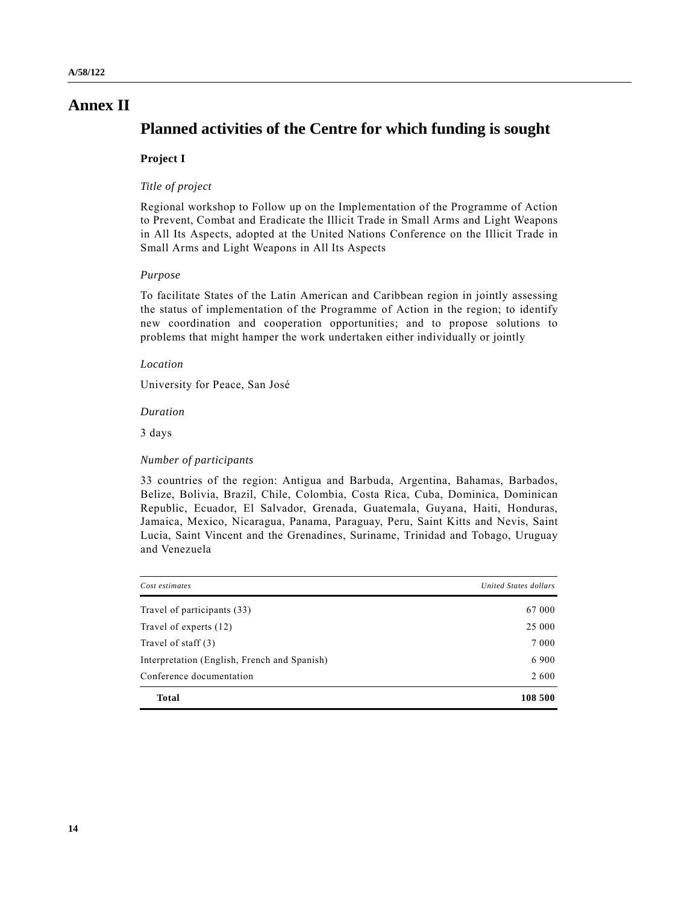# **Annex II**

# **Planned activities of the Centre for which funding is sought**

## **Project I**

#### *Title of project*

Regional workshop to Follow up on the Implementation of the Programme of Action to Prevent, Combat and Eradicate the Illicit Trade in Small Arms and Light Weapons in All Its Aspects, adopted at the United Nations Conference on the Illicit Trade in Small Arms and Light Weapons in All Its Aspects

### *Purpose*

To facilitate States of the Latin American and Caribbean region in jointly assessing the status of implementation of the Programme of Action in the region; to identify new coordination and cooperation opportunities; and to propose solutions to problems that might hamper the work undertaken either individually or jointly

#### *Location*

University for Peace, San JosÈ

#### *Duration*

3 days

#### *Number of participants*

| Cost estimates                               | United States dollars |
|----------------------------------------------|-----------------------|
| Travel of participants (33)                  | 67 000                |
| Travel of experts (12)                       | 25 000                |
| Travel of staff (3)                          | 7 0 0 0               |
| Interpretation (English, French and Spanish) | 6 9 0 0               |
| Conference documentation                     | 2 600                 |
| <b>Total</b>                                 | 108 500               |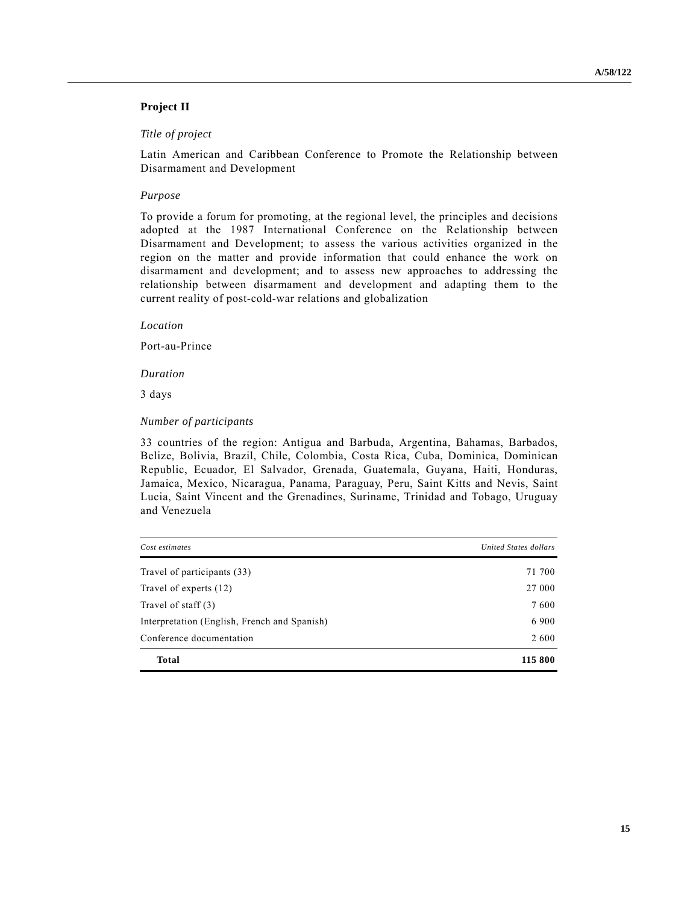# **Project II**

### *Title of project*

Latin American and Caribbean Conference to Promote the Relationship between Disarmament and Development

### *Purpose*

To provide a forum for promoting, at the regional level, the principles and decisions adopted at the 1987 International Conference on the Relationship between Disarmament and Development; to assess the various activities organized in the region on the matter and provide information that could enhance the work on disarmament and development; and to assess new approaches to addressing the relationship between disarmament and development and adapting them to the current reality of post-cold-war relations and globalization

*Location*

Port-au-Prince

*Duration*

3 days

#### *Number of participants*

| Cost estimates                               | United States dollars |
|----------------------------------------------|-----------------------|
| Travel of participants (33)                  | 71 700                |
| Travel of experts (12)                       | 27 000                |
| Travel of staff $(3)$                        | 7600                  |
| Interpretation (English, French and Spanish) | 6 9 0 0               |
| Conference documentation                     | 2 600                 |
| <b>Total</b>                                 | 115 800               |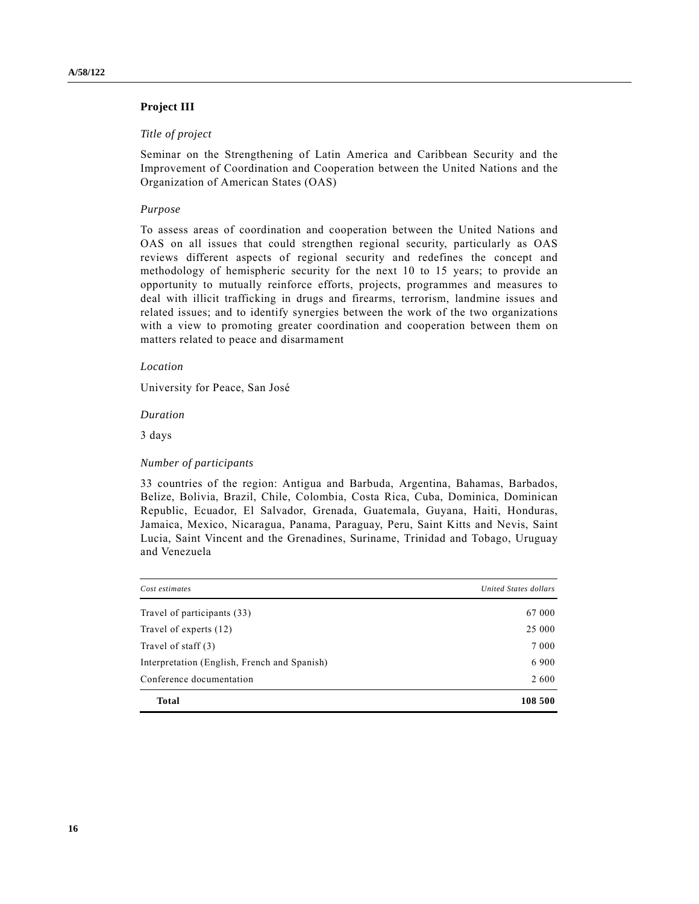# **Project III**

### *Title of project*

Seminar on the Strengthening of Latin America and Caribbean Security and the Improvement of Coordination and Cooperation between the United Nations and the Organization of American States (OAS)

#### *Purpose*

To assess areas of coordination and cooperation between the United Nations and OAS on all issues that could strengthen regional security, particularly as OAS reviews different aspects of regional security and redefines the concept and methodology of hemispheric security for the next 10 to 15 years; to provide an opportunity to mutually reinforce efforts, projects, programmes and measures to deal with illicit trafficking in drugs and firearms, terrorism, landmine issues and related issues; and to identify synergies between the work of the two organizations with a view to promoting greater coordination and cooperation between them on matters related to peace and disarmament

#### *Location*

University for Peace, San JosÈ

*Duration*

3 days

#### *Number of participants*

| Cost estimates                               | United States dollars |  |
|----------------------------------------------|-----------------------|--|
| Travel of participants (33)                  | 67 000                |  |
| Travel of experts (12)                       | 25 000                |  |
| Travel of staff (3)                          | 7 0 0 0               |  |
| Interpretation (English, French and Spanish) | 6 9 0 0               |  |
| Conference documentation                     | 2 600                 |  |
| <b>Total</b>                                 | 108 500               |  |